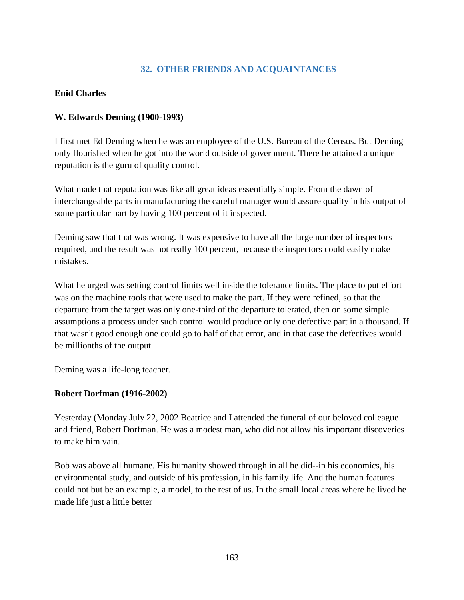# **32. OTHER FRIENDS AND ACQUAINTANCES**

## **Enid Charles**

### **W. Edwards Deming (1900-1993)**

I first met Ed Deming when he was an employee of the U.S. Bureau of the Census. But Deming only flourished when he got into the world outside of government. There he attained a unique reputation is the guru of quality control.

What made that reputation was like all great ideas essentially simple. From the dawn of interchangeable parts in manufacturing the careful manager would assure quality in his output of some particular part by having 100 percent of it inspected.

Deming saw that that was wrong. It was expensive to have all the large number of inspectors required, and the result was not really 100 percent, because the inspectors could easily make mistakes.

What he urged was setting control limits well inside the tolerance limits. The place to put effort was on the machine tools that were used to make the part. If they were refined, so that the departure from the target was only one-third of the departure tolerated, then on some simple assumptions a process under such control would produce only one defective part in a thousand. If that wasn't good enough one could go to half of that error, and in that case the defectives would be millionths of the output.

Deming was a life-long teacher.

### **Robert Dorfman (1916-2002)**

Yesterday (Monday July 22, 2002 Beatrice and I attended the funeral of our beloved colleague and friend, Robert Dorfman. He was a modest man, who did not allow his important discoveries to make him vain.

Bob was above all humane. His humanity showed through in all he did--in his economics, his environmental study, and outside of his profession, in his family life. And the human features could not but be an example, a model, to the rest of us. In the small local areas where he lived he made life just a little better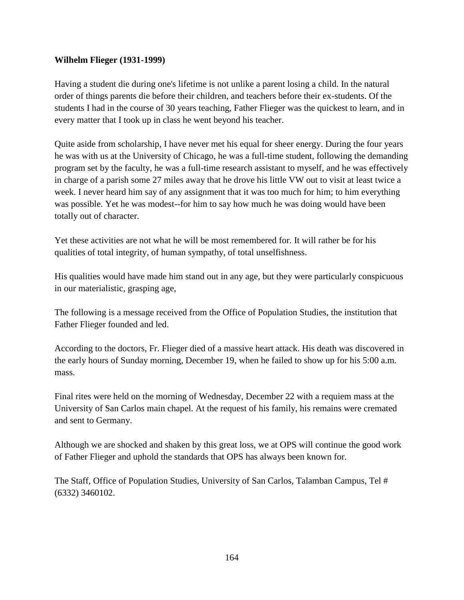#### **Wilhelm Flieger (1931-1999)**

Having a student die during one's lifetime is not unlike a parent losing a child. In the natural order of things parents die before their children, and teachers before their ex-students. Of the students I had in the course of 30 years teaching, Father Flieger was the quickest to learn, and in every matter that I took up in class he went beyond his teacher.

Quite aside from scholarship, I have never met his equal for sheer energy. During the four years he was with us at the University of Chicago, he was a full-time student, following the demanding program set by the faculty, he was a full-time research assistant to myself, and he was effectively in charge of a parish some 27 miles away that he drove his little VW out to visit at least twice a week. I never heard him say of any assignment that it was too much for him; to him everything was possible. Yet he was modest--for him to say how much he was doing would have been totally out of character.

Yet these activities are not what he will be most remembered for. It will rather be for his qualities of total integrity, of human sympathy, of total unselfishness.

His qualities would have made him stand out in any age, but they were particularly conspicuous in our materialistic, grasping age,

The following is a message received from the Office of Population Studies, the institution that Father Flieger founded and led.

According to the doctors, Fr. Flieger died of a massive heart attack. His death was discovered in the early hours of Sunday morning, December 19, when he failed to show up for his 5:00 a.m. mass.

Final rites were held on the morning of Wednesday, December 22 with a requiem mass at the University of San Carlos main chapel. At the request of his family, his remains were cremated and sent to Germany.

Although we are shocked and shaken by this great loss, we at OPS will continue the good work of Father Flieger and uphold the standards that OPS has always been known for.

The Staff, Office of Population Studies, University of San Carlos, Talamban Campus, Tel # (6332) 3460102.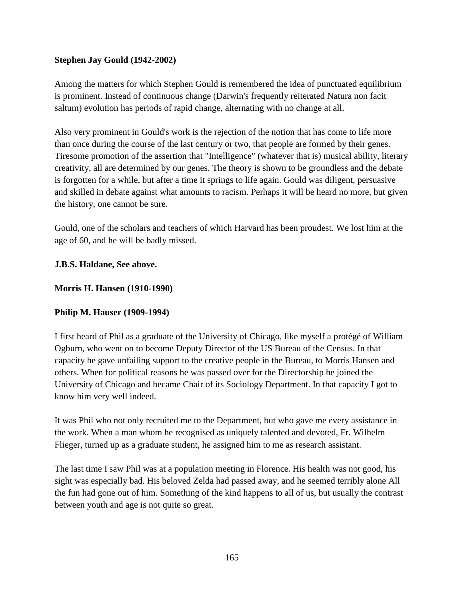## **Stephen Jay Gould (1942-2002)**

Among the matters for which Stephen Gould is remembered the idea of punctuated equilibrium is prominent. Instead of continuous change (Darwin's frequently reiterated Natura non facit saltum) evolution has periods of rapid change, alternating with no change at all.

Also very prominent in Gould's work is the rejection of the notion that has come to life more than once during the course of the last century or two, that people are formed by their genes. Tiresome promotion of the assertion that "Intelligence" (whatever that is) musical ability, literary creativity, all are determined by our genes. The theory is shown to be groundless and the debate is forgotten for a while, but after a time it springs to life again. Gould was diligent, persuasive and skilled in debate against what amounts to racism. Perhaps it will be heard no more, but given the history, one cannot be sure.

Gould, one of the scholars and teachers of which Harvard has been proudest. We lost him at the age of 60, and he will be badly missed.

### **J.B.S. Haldane, See above.**

### **Morris H. Hansen (1910-1990)**

### **Philip M. Hauser (1909-1994)**

I first heard of Phil as a graduate of the University of Chicago, like myself a protégé of William Ogburn, who went on to become Deputy Director of the US Bureau of the Census. In that capacity he gave unfailing support to the creative people in the Bureau, to Morris Hansen and others. When for political reasons he was passed over for the Directorship he joined the University of Chicago and became Chair of its Sociology Department. In that capacity I got to know him very well indeed.

It was Phil who not only recruited me to the Department, but who gave me every assistance in the work. When a man whom he recognised as uniquely talented and devoted, Fr. Wilhelm Flieger, turned up as a graduate student, he assigned him to me as research assistant.

The last time I saw Phil was at a population meeting in Florence. His health was not good, his sight was especially bad. His beloved Zelda had passed away, and he seemed terribly alone All the fun had gone out of him. Something of the kind happens to all of us, but usually the contrast between youth and age is not quite so great.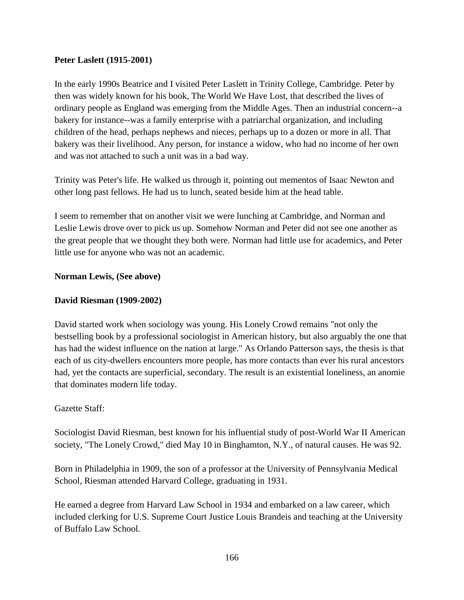#### **Peter Laslett (1915-2001)**

In the early 1990s Beatrice and I visited Peter Laslett in Trinity College, Cambridge. Peter by then was widely known for his book, The World We Have Lost, that described the lives of ordinary people as England was emerging from the Middle Ages. Then an industrial concern--a bakery for instance--was a family enterprise with a patriarchal organization, and including children of the head, perhaps nephews and nieces, perhaps up to a dozen or more in all. That bakery was their livelihood. Any person, for instance a widow, who had no income of her own and was not attached to such a unit was in a bad way.

Trinity was Peter's life. He walked us through it, pointing out mementos of Isaac Newton and other long past fellows. He had us to lunch, seated beside him at the head table.

I seem to remember that on another visit we were lunching at Cambridge, and Norman and Leslie Lewis drove over to pick us up. Somehow Norman and Peter did not see one another as the great people that we thought they both were. Norman had little use for academics, and Peter little use for anyone who was not an academic.

#### **Norman Lewis, (See above)**

#### **David Riesman (1909-2002)**

David started work when sociology was young. His Lonely Crowd remains "not only the bestselling book by a professional sociologist in American history, but also arguably the one that has had the widest influence on the nation at large." As Orlando Patterson says, the thesis is that each of us city-dwellers encounters more people, has more contacts than ever his rural ancestors had, yet the contacts are superficial, secondary. The result is an existential loneliness, an anomie that dominates modern life today.

#### Gazette Staff:

Sociologist David Riesman, best known for his influential study of post-World War II American society, "The Lonely Crowd," died May 10 in Binghamton, N.Y., of natural causes. He was 92.

Born in Philadelphia in 1909, the son of a professor at the University of Pennsylvania Medical School, Riesman attended Harvard College, graduating in 1931.

He earned a degree from Harvard Law School in 1934 and embarked on a law career, which included clerking for U.S. Supreme Court Justice Louis Brandeis and teaching at the University of Buffalo Law School.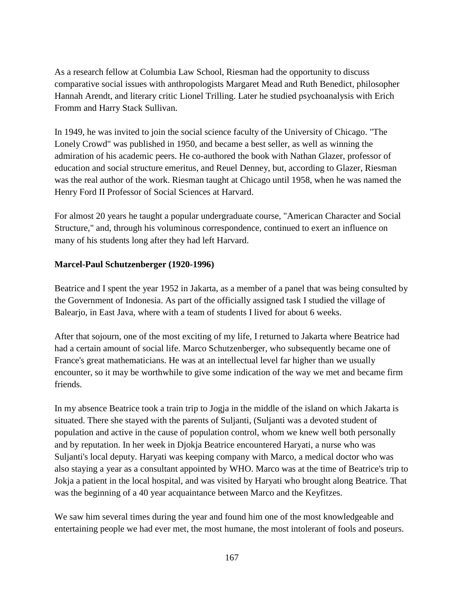As a research fellow at Columbia Law School, Riesman had the opportunity to discuss comparative social issues with anthropologists Margaret Mead and Ruth Benedict, philosopher Hannah Arendt, and literary critic Lionel Trilling. Later he studied psychoanalysis with Erich Fromm and Harry Stack Sullivan.

In 1949, he was invited to join the social science faculty of the University of Chicago. "The Lonely Crowd" was published in 1950, and became a best seller, as well as winning the admiration of his academic peers. He co-authored the book with Nathan Glazer, professor of education and social structure emeritus, and Reuel Denney, but, according to Glazer, Riesman was the real author of the work. Riesman taught at Chicago until 1958, when he was named the Henry Ford II Professor of Social Sciences at Harvard.

For almost 20 years he taught a popular undergraduate course, "American Character and Social Structure," and, through his voluminous correspondence, continued to exert an influence on many of his students long after they had left Harvard.

### **Marcel-Paul Schutzenberger (1920-1996)**

Beatrice and I spent the year 1952 in Jakarta, as a member of a panel that was being consulted by the Government of Indonesia. As part of the officially assigned task I studied the village of Balearjo, in East Java, where with a team of students I lived for about 6 weeks.

After that sojourn, one of the most exciting of my life, I returned to Jakarta where Beatrice had had a certain amount of social life. Marco Schutzenberger, who subsequently became one of France's great mathematicians. He was at an intellectual level far higher than we usually encounter, so it may be worthwhile to give some indication of the way we met and became firm friends.

In my absence Beatrice took a train trip to Jogja in the middle of the island on which Jakarta is situated. There she stayed with the parents of Suljanti, (Suljanti was a devoted student of population and active in the cause of population control, whom we knew well both personally and by reputation. In her week in Djokja Beatrice encountered Haryati, a nurse who was Suljanti's local deputy. Haryati was keeping company with Marco, a medical doctor who was also staying a year as a consultant appointed by WHO. Marco was at the time of Beatrice's trip to Jokja a patient in the local hospital, and was visited by Haryati who brought along Beatrice. That was the beginning of a 40 year acquaintance between Marco and the Keyfitzes.

We saw him several times during the year and found him one of the most knowledgeable and entertaining people we had ever met, the most humane, the most intolerant of fools and poseurs.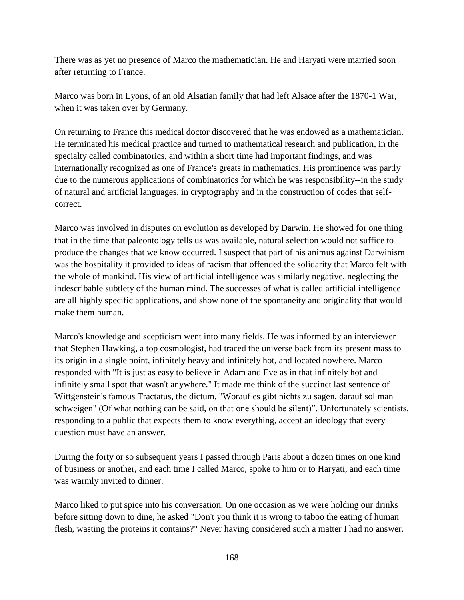There was as yet no presence of Marco the mathematician. He and Haryati were married soon after returning to France.

Marco was born in Lyons, of an old Alsatian family that had left Alsace after the 1870-1 War, when it was taken over by Germany.

On returning to France this medical doctor discovered that he was endowed as a mathematician. He terminated his medical practice and turned to mathematical research and publication, in the specialty called combinatorics, and within a short time had important findings, and was internationally recognized as one of France's greats in mathematics. His prominence was partly due to the numerous applications of combinatorics for which he was responsibility--in the study of natural and artificial languages, in cryptography and in the construction of codes that selfcorrect.

Marco was involved in disputes on evolution as developed by Darwin. He showed for one thing that in the time that paleontology tells us was available, natural selection would not suffice to produce the changes that we know occurred. I suspect that part of his animus against Darwinism was the hospitality it provided to ideas of racism that offended the solidarity that Marco felt with the whole of mankind. His view of artificial intelligence was similarly negative, neglecting the indescribable subtlety of the human mind. The successes of what is called artificial intelligence are all highly specific applications, and show none of the spontaneity and originality that would make them human.

Marco's knowledge and scepticism went into many fields. He was informed by an interviewer that Stephen Hawking, a top cosmologist, had traced the universe back from its present mass to its origin in a single point, infinitely heavy and infinitely hot, and located nowhere. Marco responded with "It is just as easy to believe in Adam and Eve as in that infinitely hot and infinitely small spot that wasn't anywhere." It made me think of the succinct last sentence of Wittgenstein's famous Tractatus, the dictum, "Worauf es gibt nichts zu sagen, darauf sol man schweigen" (Of what nothing can be said, on that one should be silent)". Unfortunately scientists, responding to a public that expects them to know everything, accept an ideology that every question must have an answer.

During the forty or so subsequent years I passed through Paris about a dozen times on one kind of business or another, and each time I called Marco, spoke to him or to Haryati, and each time was warmly invited to dinner.

Marco liked to put spice into his conversation. On one occasion as we were holding our drinks before sitting down to dine, he asked "Don't you think it is wrong to taboo the eating of human flesh, wasting the proteins it contains?" Never having considered such a matter I had no answer.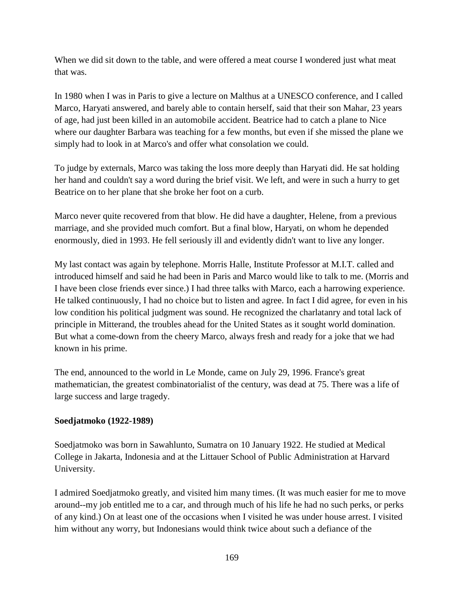When we did sit down to the table, and were offered a meat course I wondered just what meat that was.

In 1980 when I was in Paris to give a lecture on Malthus at a UNESCO conference, and I called Marco, Haryati answered, and barely able to contain herself, said that their son Mahar, 23 years of age, had just been killed in an automobile accident. Beatrice had to catch a plane to Nice where our daughter Barbara was teaching for a few months, but even if she missed the plane we simply had to look in at Marco's and offer what consolation we could.

To judge by externals, Marco was taking the loss more deeply than Haryati did. He sat holding her hand and couldn't say a word during the brief visit. We left, and were in such a hurry to get Beatrice on to her plane that she broke her foot on a curb.

Marco never quite recovered from that blow. He did have a daughter, Helene, from a previous marriage, and she provided much comfort. But a final blow, Haryati, on whom he depended enormously, died in 1993. He fell seriously ill and evidently didn't want to live any longer.

My last contact was again by telephone. Morris Halle, Institute Professor at M.I.T. called and introduced himself and said he had been in Paris and Marco would like to talk to me. (Morris and I have been close friends ever since.) I had three talks with Marco, each a harrowing experience. He talked continuously, I had no choice but to listen and agree. In fact I did agree, for even in his low condition his political judgment was sound. He recognized the charlatanry and total lack of principle in Mitterand, the troubles ahead for the United States as it sought world domination. But what a come-down from the cheery Marco, always fresh and ready for a joke that we had known in his prime.

The end, announced to the world in Le Monde, came on July 29, 1996. France's great mathematician, the greatest combinatorialist of the century, was dead at 75. There was a life of large success and large tragedy.

### **Soedjatmoko (1922-1989)**

Soedjatmoko was born in Sawahlunto, Sumatra on 10 January 1922. He studied at Medical College in Jakarta, Indonesia and at the Littauer School of Public Administration at Harvard University.

I admired Soedjatmoko greatly, and visited him many times. (It was much easier for me to move around--my job entitled me to a car, and through much of his life he had no such perks, or perks of any kind.) On at least one of the occasions when I visited he was under house arrest. I visited him without any worry, but Indonesians would think twice about such a defiance of the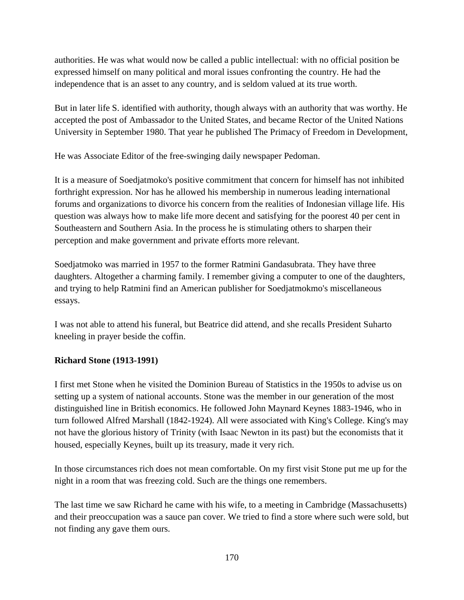authorities. He was what would now be called a public intellectual: with no official position be expressed himself on many political and moral issues confronting the country. He had the independence that is an asset to any country, and is seldom valued at its true worth.

But in later life S. identified with authority, though always with an authority that was worthy. He accepted the post of Ambassador to the United States, and became Rector of the United Nations University in September 1980. That year he published The Primacy of Freedom in Development,

He was Associate Editor of the free-swinging daily newspaper Pedoman.

It is a measure of Soedjatmoko's positive commitment that concern for himself has not inhibited forthright expression. Nor has he allowed his membership in numerous leading international forums and organizations to divorce his concern from the realities of Indonesian village life. His question was always how to make life more decent and satisfying for the poorest 40 per cent in Southeastern and Southern Asia. In the process he is stimulating others to sharpen their perception and make government and private efforts more relevant.

Soedjatmoko was married in 1957 to the former Ratmini Gandasubrata. They have three daughters. Altogether a charming family. I remember giving a computer to one of the daughters, and trying to help Ratmini find an American publisher for Soedjatmokmo's miscellaneous essays.

I was not able to attend his funeral, but Beatrice did attend, and she recalls President Suharto kneeling in prayer beside the coffin.

# **Richard Stone (1913-1991)**

I first met Stone when he visited the Dominion Bureau of Statistics in the 1950s to advise us on setting up a system of national accounts. Stone was the member in our generation of the most distinguished line in British economics. He followed John Maynard Keynes 1883-1946, who in turn followed Alfred Marshall (1842-1924). All were associated with King's College. King's may not have the glorious history of Trinity (with Isaac Newton in its past) but the economists that it housed, especially Keynes, built up its treasury, made it very rich.

In those circumstances rich does not mean comfortable. On my first visit Stone put me up for the night in a room that was freezing cold. Such are the things one remembers.

The last time we saw Richard he came with his wife, to a meeting in Cambridge (Massachusetts) and their preoccupation was a sauce pan cover. We tried to find a store where such were sold, but not finding any gave them ours.